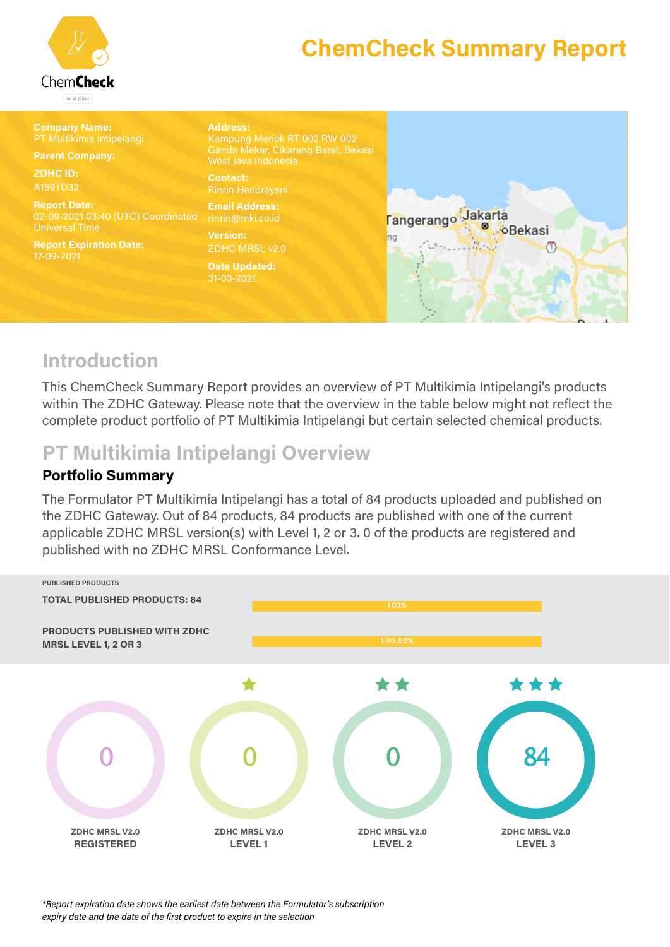

| <b>Company Name:</b><br>PT Multikimia Intipelangi<br><b>Parent Company:</b>        | <b>Address:</b><br>Kampung Meriuk RT 002 RW 002<br>Ganda Mekar, Cikarang Barat, Bekasi<br>West Java Indonesia |                                                                  |
|------------------------------------------------------------------------------------|---------------------------------------------------------------------------------------------------------------|------------------------------------------------------------------|
| <b>ZDHC ID:</b><br>A159TD32                                                        | <b>Contact:</b><br>Rinrin Hendrayani                                                                          |                                                                  |
| <b>Report Date:</b><br>02-09-2021 03:40 (UTC) Coordinated<br><b>Universal Time</b> | <b>Email Address:</b><br>rinrin@mki.co.id                                                                     | Tangerango Jakarta<br><b><i><b></b></i></b> <i><b></b>Bekasi</i> |
| <b>Report Expiration Date:</b><br>17-09-2021                                       | <b>Version:</b><br><b>ZDHC MRSL v2.0</b>                                                                      |                                                                  |
|                                                                                    | <b>Date Updated:</b><br>31-03-2021                                                                            |                                                                  |
|                                                                                    |                                                                                                               |                                                                  |

#### **Introduction**

This ChemCheck Summary Report provides an overview of PT Multikimia Intipelangi's products within The ZDHC Gateway. Please note that the overview in the table below might not reflect the complete product portfolio of PT Multikimia Intipelangi but certain selected chemical products.

#### **PT Multikimia Intipelangi Overview**

#### **Portfolio Summary**

The Formulator PT Multikimia Intipelangi has a total of 84 products uploaded and published on the ZDHC Gateway. Out of 84 products, 84 products are published with one of the current applicable ZDHC MRSL version(s) with Level 1, 2 or 3. 0 of the products are registered and published with no ZDHC MRSL Conformance Level.



*\*Report expiration date shows the earliest date between the Formulator's subscription expiry date and the date of the first product to expire in the selection*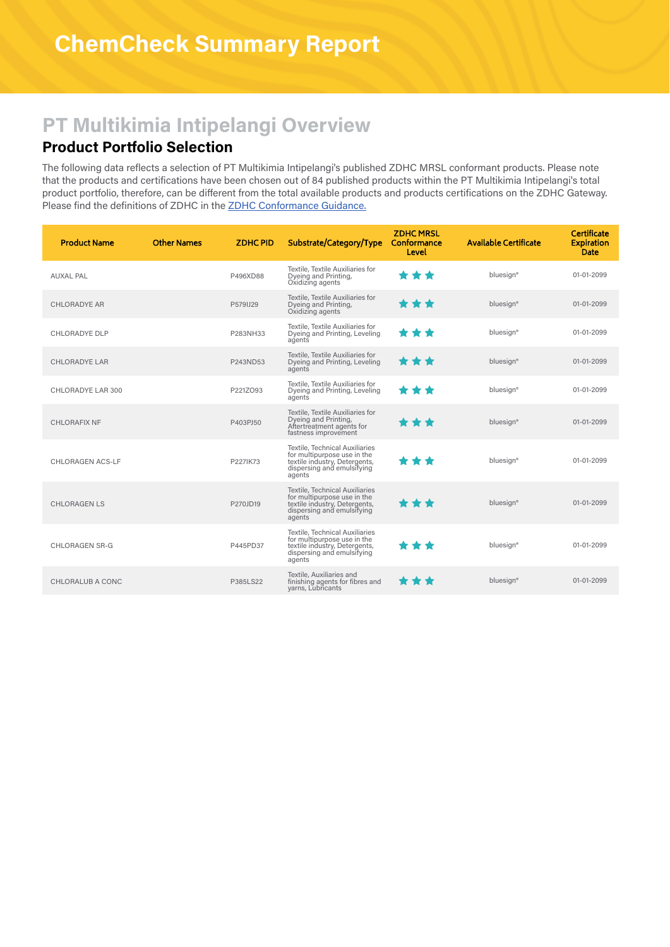### **PT Multikimia Intipelangi Overview**

#### **Product Portfolio Selection**

The following data reflects a selection of PT Multikimia Intipelangi's published ZDHC MRSL conformant products. Please note that the products and certifications have been chosen out of 84 published products within the PT Multikimia Intipelangi's total product portfolio, therefore, can be different from the total available products and products certifications on the ZDHC Gateway. Please find the definitions of ZDHC in the ZDHC [Conformance](https://www.roadmaptozero.com/input#CG) Guidance.

| <b>Product Name</b>     | <b>Other Names</b> | <b>ZDHCPID</b> | Substrate/Category/Type                                                                                                                | <b>ZDHCMRSL</b><br>Conformance<br>Level | <b>Available Certificate</b> | Certificate<br><b>Expiration</b><br><b>Date</b> |
|-------------------------|--------------------|----------------|----------------------------------------------------------------------------------------------------------------------------------------|-----------------------------------------|------------------------------|-------------------------------------------------|
| <b>AUXAL PAL</b>        |                    | P496XD88       | Textile, Textile Auxiliaries for<br>Dyeing and Printing,<br>Oxidizing agents                                                           | * * *                                   | bluesign <sup>®</sup>        | 01-01-2099                                      |
| <b>CHLORADYE AR</b>     |                    | P579IJ29       | Textile, Textile Auxiliaries for<br>Dyeing and Printing,<br>Oxidizing agents                                                           | ***                                     | bluesign®                    | 01-01-2099                                      |
| <b>CHLORADYE DLP</b>    |                    | P283NH33       | Textile, Textile Auxiliaries for<br>Dyeing and Printing, Leveling<br>agents                                                            | ***                                     | bluesign®                    | 01-01-2099                                      |
| CHLORADYE LAR           |                    | P243ND53       | Textile, Textile Auxiliaries for<br>Dyeing and Printing, Leveling<br>agents                                                            | ***                                     | bluesign®                    | 01-01-2099                                      |
| CHLORADYE LAR 300       |                    | P221ZO93       | Textile, Textile Auxiliaries for<br>Dyeing and Printing, Leveling<br>agents                                                            | ***                                     | bluesign®                    | 01-01-2099                                      |
| <b>CHLORAFIX NF</b>     |                    | P403PJ50       | Textile, Textile Auxiliaries for<br>Dyeing and Printing,<br>Aftertreatment agents for<br>fastness improvement                          | ***                                     | bluesign <sup>®</sup>        | 01-01-2099                                      |
| <b>CHLORAGEN ACS-LF</b> |                    | P227IK73       | Textile, Technical Auxiliaries<br>for multipurpose use in the<br>textile industry, Detergents,<br>dispersing and emulsifying<br>agents | * * *                                   | bluesign <sup>®</sup>        | 01-01-2099                                      |
| <b>CHLORAGEN LS</b>     |                    | P270JD19       | Textile, Technical Auxiliaries<br>for multipurpose use in the<br>textile industry, Detergents,<br>dispersing and emulsifying<br>agents | ***                                     | bluesign®                    | 01-01-2099                                      |
| <b>CHLORAGEN SR-G</b>   |                    | P445PD37       | Textile, Technical Auxiliaries<br>for multipurpose use in the<br>textile industry, Detergents,<br>dispersing and emulsifying<br>agents | * * *                                   | bluesign®                    | 01-01-2099                                      |
| CHLORALUB A CONC        |                    | P385LS22       | Textile, Auxiliaries and<br>finishing agents for fibres and<br>varns, Lubricants                                                       | * * *                                   | bluesign®                    | 01-01-2099                                      |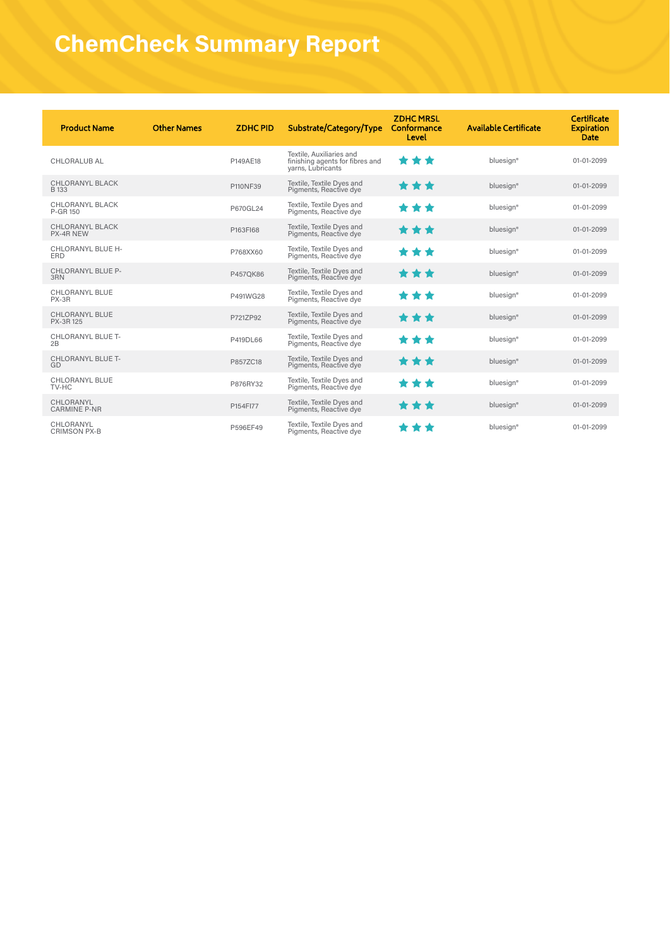| <b>Product Name</b>                    | <b>Other Names</b> | <b>ZDHCPID</b> | Substrate/Category/Type                                                          | <b>ZDHC MRSL</b><br>Conformance<br>Level | <b>Available Certificate</b> | Certificate<br><b>Expiration</b><br>Date |
|----------------------------------------|--------------------|----------------|----------------------------------------------------------------------------------|------------------------------------------|------------------------------|------------------------------------------|
| <b>CHLORALUB AL</b>                    |                    | P149AE18       | Textile, Auxiliaries and<br>finishing agents for fibres and<br>varns, Lubricants | * * *                                    | bluesign <sup>®</sup>        | 01-01-2099                               |
| <b>CHLORANYL BLACK</b><br><b>B</b> 133 |                    | P110NF39       | Textile, Textile Dyes and<br>Pigments, Reactive dye                              | ***                                      | bluesign®                    | 01-01-2099                               |
| <b>CHLORANYL BLACK</b><br>P-GR 150     |                    | P670GL24       | Textile, Textile Dyes and<br>Pigments, Reactive dye                              | **                                       | bluesign <sup>®</sup>        | 01-01-2099                               |
| CHLORANYL BLACK<br>PX-4R NEW           |                    | P163FI68       | Textile, Textile Dyes and<br>Pigments, Reactive dye                              | * * *                                    | bluesign®                    | 01-01-2099                               |
| CHLORANYL BLUE H-<br><b>ERD</b>        |                    | P768XX60       | Textile, Textile Dyes and<br>Pigments, Reactive dye                              | **<br>÷                                  | bluesign <sup>®</sup>        | 01-01-2099                               |
| <b>CHLORANYL BLUE P-</b><br>3RN        |                    | P457OK86       | Textile, Textile Dyes and<br>Pigments, Reactive dye                              | ***                                      | bluesign®                    | 01-01-2099                               |
| CHLORANYL BLUE<br>PX-3R                |                    | P491WG28       | Textile, Textile Dyes and<br>Pigments, Reactive dye                              | ***                                      | bluesign <sup>®</sup>        | 01-01-2099                               |
| <b>CHLORANYL BLUE</b><br>PX-3R 125     |                    | P721ZP92       | Textile, Textile Dyes and<br>Pigments, Reactive dye                              | ***                                      | bluesign®                    | 01-01-2099                               |
| CHLORANYL BLUE T-<br>2B                |                    | P419DL66       | Textile, Textile Dyes and<br>Pigments, Reactive dye                              | ***                                      | bluesign <sup>®</sup>        | 01-01-2099                               |
| <b>CHLORANYL BLUE T-</b><br>GD         |                    | P857ZC18       | Textile, Textile Dyes and<br>Pigments, Reactive dye                              | ***                                      | bluesign®                    | 01-01-2099                               |
| <b>CHLORANYL BLUE</b><br>TV-HC         |                    | P876RY32       | Textile, Textile Dyes and<br>Pigments, Reactive dye                              | **                                       | bluesign <sup>®</sup>        | 01-01-2099                               |
| CHLORANYL<br><b>CARMINE P-NR</b>       |                    | P154FI77       | Textile, Textile Dyes and<br>Pigments, Reactive dye                              | ***                                      | bluesign®                    | 01-01-2099                               |
| CHLORANYL<br><b>CRIMSON PX-B</b>       |                    | P596EF49       | Textile, Textile Dyes and<br>Pigments, Reactive dye                              | **                                       | bluesign <sup>®</sup>        | 01-01-2099                               |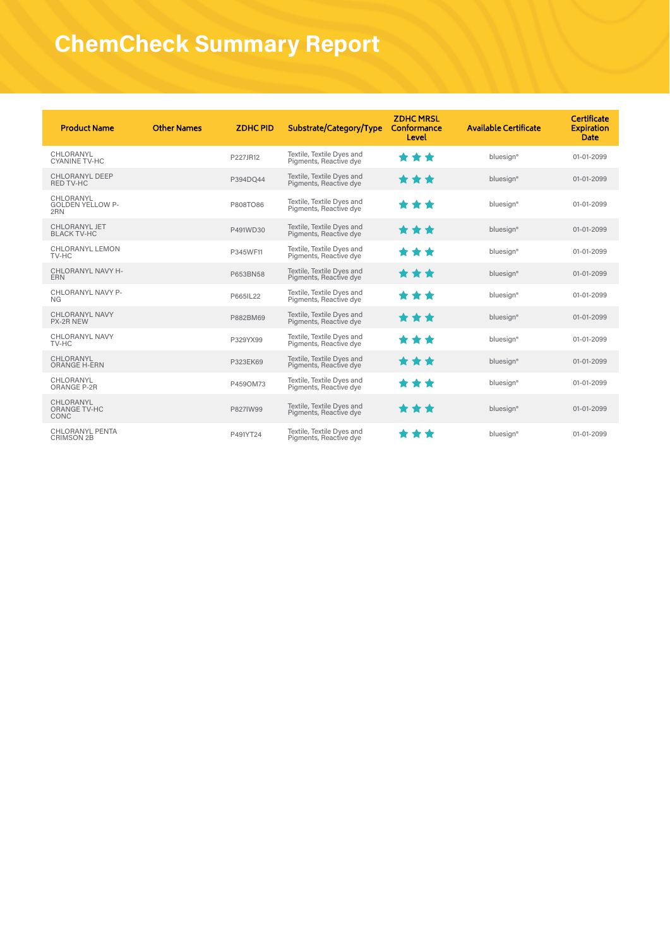| <b>Product Name</b>                         | <b>Other Names</b> | <b>ZDHCPID</b> | Substrate/Category/Type                             | <b>ZDHCMRSL</b><br>Conformance<br>Level | <b>Available Certificate</b> | Certificate<br><b>Expiration</b><br><b>Date</b> |
|---------------------------------------------|--------------------|----------------|-----------------------------------------------------|-----------------------------------------|------------------------------|-------------------------------------------------|
| CHLORANYL<br><b>CYANINE TV-HC</b>           |                    | P227JR12       | Textile, Textile Dyes and<br>Pigments, Reactive dye | ***                                     | bluesian®                    | 01-01-2099                                      |
| <b>CHLORANYL DEEP</b><br><b>RED TV-HC</b>   |                    | P394DO44       | Textile, Textile Dyes and<br>Pigments, Reactive dye | ***                                     | bluesign®                    | 01-01-2099                                      |
| CHLORANYL<br><b>GOLDEN YELLOW P-</b><br>2RN |                    | P808TO86       | Textile, Textile Dyes and<br>Pigments, Reactive dye | ***                                     | bluesign®                    | 01-01-2099                                      |
| CHLORANYL JET<br><b>BLACK TV-HC</b>         |                    | P491WD30       | Textile, Textile Dyes and<br>Pigments, Reactive dye | ***                                     | bluesign®                    | 01-01-2099                                      |
| CHLORANYL LEMON<br>TV-HC                    |                    | P345WF11       | Textile, Textile Dyes and<br>Pigments, Reactive dye | ***                                     | bluesign®                    | 01-01-2099                                      |
| CHLORANYL NAVY H-<br><b>ERN</b>             |                    | P653BN58       | Textile, Textile Dyes and<br>Pigments, Reactive dye | ***                                     | bluesign®                    | 01-01-2099                                      |
| CHLORANYL NAVY P-<br>NG                     |                    | P665IL22       | Textile, Textile Dyes and<br>Pigments, Reactive dye | ***                                     | bluesign®                    | 01-01-2099                                      |
| <b>CHLORANYL NAVY</b><br>PX-2R NEW          |                    | P882BM69       | Textile, Textile Dyes and<br>Pigments, Reactive dye | ***                                     | bluesign®                    | 01-01-2099                                      |
| <b>CHLORANYL NAVY</b><br>TV-HC              |                    | P329YX99       | Textile, Textile Dyes and<br>Pigments, Reactive dye | ***                                     | bluesign®                    | 01-01-2099                                      |
| CHLORANYL<br><b>ORANGE H-ERN</b>            |                    | P323EK69       | Textile, Textile Dyes and<br>Pigments, Reactive dye | ***                                     | bluesign®                    | 01-01-2099                                      |
| CHLORANYL<br>ORANGE P-2R                    |                    | P459OM73       | Textile, Textile Dyes and<br>Pigments, Reactive dye | ***                                     | bluesign®                    | 01-01-2099                                      |
| CHLORANYL<br><b>ORANGE TV-HC</b><br>CONC    |                    | P827IW99       | Textile, Textile Dyes and<br>Pigments, Reactive dye | ***                                     | bluesign®                    | 01-01-2099                                      |
| <b>CHLORANYL PENTA</b><br><b>CRIMSON 2B</b> |                    | P491YT24       | Textile, Textile Dyes and<br>Pigments, Reactive dye | ***                                     | bluesign®                    | 01-01-2099                                      |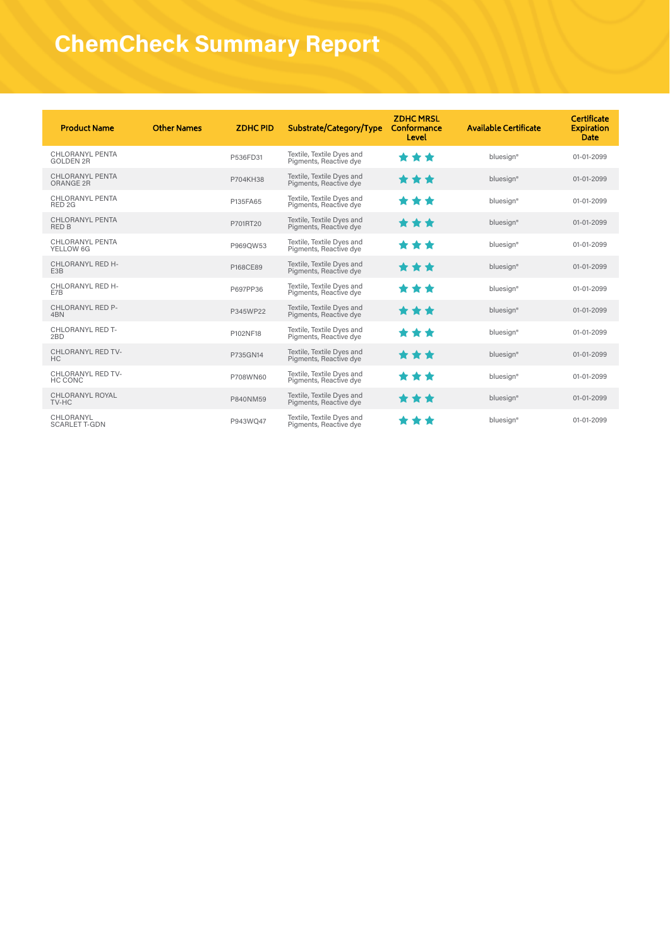| <b>Product Name</b>                         | <b>Other Names</b> | <b>ZDHCPID</b> | Substrate/Category/Type                             | <b>ZDHCMRSL</b><br>Conformance<br>Level | <b>Available Certificate</b> | Certificate<br><b>Expiration</b><br>Date |
|---------------------------------------------|--------------------|----------------|-----------------------------------------------------|-----------------------------------------|------------------------------|------------------------------------------|
| CHLORANYL PENTA<br><b>GOLDEN 2R</b>         |                    | P536FD31       | Textile, Textile Dyes and<br>Pigments, Reactive dye | **<br>◆                                 | bluesign®                    | 01-01-2099                               |
| <b>CHLORANYL PENTA</b><br>ORANGE 2R         |                    | P704KH38       | Textile, Textile Dyes and<br>Pigments, Reactive dye | ***                                     | bluesign®                    | 01-01-2099                               |
| <b>CHLORANYL PENTA</b><br>RED <sub>2G</sub> |                    | P135FA65       | Textile, Textile Dyes and<br>Pigments, Reactive dye | ***                                     | bluesign®                    | 01-01-2099                               |
| <b>CHLORANYL PENTA</b><br><b>RED B</b>      |                    | P701RT20       | Textile, Textile Dyes and<br>Pigments, Reactive dye | ***                                     | bluesign®                    | 01-01-2099                               |
| CHLORANYL PENTA<br>YELLOW 6G                |                    | P969OW53       | Textile, Textile Dyes and<br>Pigments, Reactive dye | ***                                     | bluesign®                    | 01-01-2099                               |
| CHLORANYL RED H-<br>E <sub>3</sub> B        |                    | P168CE89       | Textile, Textile Dyes and<br>Pigments, Reactive dye | ***                                     | bluesign®                    | 01-01-2099                               |
| CHLORANYL RED H-<br>E7B                     |                    | P697PP36       | Textile, Textile Dyes and<br>Pigments, Reactive dye | ***                                     | bluesign®                    | 01-01-2099                               |
| <b>CHLORANYL RED P-</b><br>4BN              |                    | P345WP22       | Textile, Textile Dyes and<br>Pigments, Reactive dye | ***                                     | bluesign®                    | 01-01-2099                               |
| <b>CHLORANYL RED T-</b><br>2BD              |                    | P102NF18       | Textile, Textile Dyes and<br>Pigments, Reactive dye | ***                                     | bluesign®                    | 01-01-2099                               |
| CHLORANYL RED TV-<br>HC.                    |                    | P735GN14       | Textile, Textile Dyes and<br>Pigments, Reactive dye | ***                                     | bluesign®                    | 01-01-2099                               |
| CHLORANYL RED TV-<br>HC CONC                |                    | P708WN60       | Textile, Textile Dyes and<br>Pigments, Reactive dye | **                                      | bluesign®                    | 01-01-2099                               |
| <b>CHLORANYL ROYAL</b><br>TV-HC             |                    | P840NM59       | Textile, Textile Dyes and<br>Pigments, Reactive dye | ***                                     | bluesign®                    | 01-01-2099                               |
| CHLORANYL<br><b>SCARLET T-GDN</b>           |                    | P943WO47       | Textile, Textile Dyes and<br>Pigments, Reactive dye | * * *                                   | bluesign®                    | 01-01-2099                               |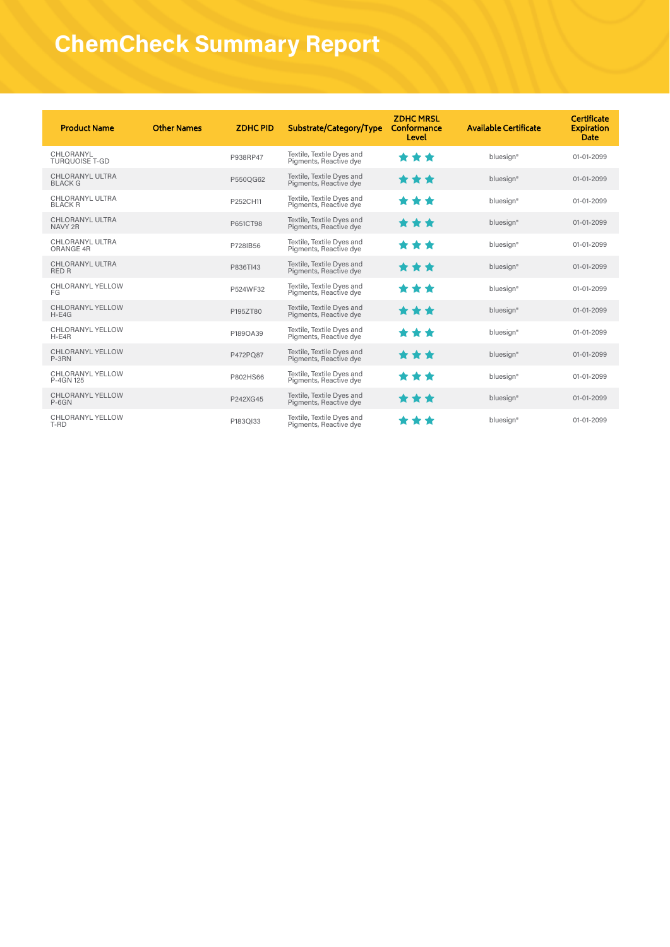| <b>Product Name</b>                      | <b>Other Names</b> | <b>ZDHCPID</b> | Substrate/Category/Type                             | <b>ZDHC MRSL</b><br>Conformance<br>Level | <b>Available Certificate</b> | Certificate<br><b>Expiration</b><br>Date |
|------------------------------------------|--------------------|----------------|-----------------------------------------------------|------------------------------------------|------------------------------|------------------------------------------|
| CHLORANYL<br><b>TUROUOISE T-GD</b>       |                    | P938RP47       | Textile, Textile Dyes and<br>Pigments, Reactive dye | ◆<br>**                                  | bluesign®                    | 01-01-2099                               |
| <b>CHLORANYL ULTRA</b><br><b>BLACK G</b> |                    | P550OG62       | Textile, Textile Dyes and<br>Pigments, Reactive dye | ***                                      | bluesign®                    | 01-01-2099                               |
| CHLORANYL ULTRA<br><b>BLACK R</b>        |                    | P252CH11       | Textile, Textile Dyes and<br>Pigments, Reactive dye | ***                                      | bluesign <sup>®</sup>        | 01-01-2099                               |
| <b>CHLORANYL ULTRA</b><br>NAVY 2R        |                    | P651CT98       | Textile, Textile Dyes and<br>Pigments, Reactive dye | ***                                      | bluesign®                    | 01-01-2099                               |
| <b>CHLORANYL ULTRA</b><br>ORANGE 4R      |                    | P728IB56       | Textile, Textile Dyes and<br>Pigments, Reactive dye | ***                                      | bluesign <sup>®</sup>        | 01-01-2099                               |
| <b>CHLORANYL ULTRA</b><br><b>RED R</b>   |                    | P836TI43       | Textile, Textile Dyes and<br>Pigments, Reactive dye | ***                                      | bluesign®                    | 01-01-2099                               |
| CHLORANYL YELLOW<br>FG                   |                    | P524WF32       | Textile, Textile Dyes and<br>Pigments, Reactive dye | **                                       | bluesign®                    | 01-01-2099                               |
| <b>CHLORANYL YELLOW</b><br>$H-E4G$       |                    | P195ZT80       | Textile, Textile Dyes and<br>Pigments, Reactive dye | ***                                      | bluesign <sup>®</sup>        | 01-01-2099                               |
| CHLORANYL YELLOW<br>$H-E4R$              |                    | P189OA39       | Textile, Textile Dyes and<br>Pigments, Reactive dye | ***                                      | bluesign <sup>®</sup>        | 01-01-2099                               |
| <b>CHLORANYL YELLOW</b><br>P-3RN         |                    | P472PO87       | Textile, Textile Dyes and<br>Pigments, Reactive dye | ***                                      | bluesign®                    | 01-01-2099                               |
| <b>CHLORANYL YELLOW</b><br>P-4GN 125     |                    | P802HS66       | Textile, Textile Dyes and<br>Pigments, Reactive dye | ***                                      | bluesign®                    | 01-01-2099                               |
| <b>CHLORANYL YELLOW</b><br>$P-6GN$       |                    | P242XG45       | Textile, Textile Dyes and<br>Pigments, Reactive dye | ***                                      | bluesign®                    | 01-01-2099                               |
| CHLORANYL YELLOW<br>T-RD                 |                    | P183OI33       | Textile, Textile Dyes and<br>Pigments, Reactive dye | * * *                                    | bluesign <sup>®</sup>        | 01-01-2099                               |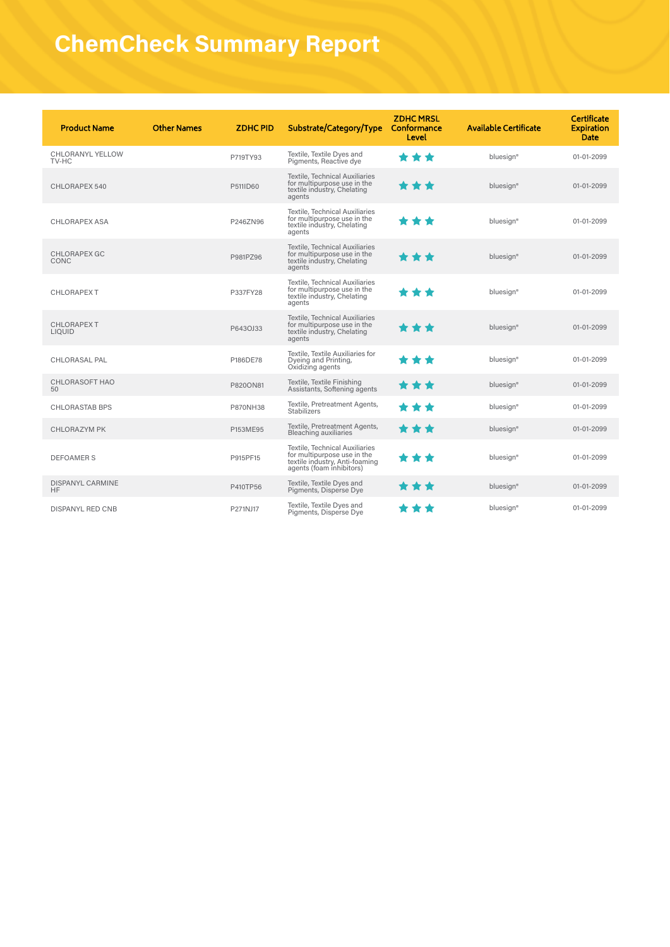| <b>Product Name</b>                  | <b>Other Names</b> | <b>ZDHCPID</b> | Substrate/Category/Type                                                                                                     | <b>ZDHCMRSL</b><br>Conformance<br>Level | <b>Available Certificate</b> | Certificate<br><b>Expiration</b><br><b>Date</b> |
|--------------------------------------|--------------------|----------------|-----------------------------------------------------------------------------------------------------------------------------|-----------------------------------------|------------------------------|-------------------------------------------------|
| CHLORANYL YELLOW<br>TV-HC            |                    | P719TY93       | Textile, Textile Dyes and<br>Pigments, Reactive dye                                                                         | ***                                     | bluesign <sup>®</sup>        | 01-01-2099                                      |
| CHLORAPEX 540                        |                    | P511ID60       | <b>Textile, Technical Auxiliaries</b><br>for multipurpose use in the<br>textile industry, Chelating<br>agents               | * * *                                   | bluesign®                    | 01-01-2099                                      |
| <b>CHLORAPEX ASA</b>                 |                    | P246ZN96       | Textile, Technical Auxiliaries<br>for multipurpose use in the<br>textile industry, Chelating<br>agents                      | ***                                     | bluesign®                    | 01-01-2099                                      |
| <b>CHLORAPEX GC</b><br>CONC          |                    | P981PZ96       | Textile, Technical Auxiliaries<br>for multipurpose use in the<br>textile industry, Chelating<br>agents                      | * * *                                   | bluesign®                    | 01-01-2099                                      |
| <b>CHLORAPEX T</b>                   |                    | P337FY28       | Textile, Technical Auxiliaries<br>for multipurpose use in the<br>textile industry, Chelating<br>agents                      | * * *                                   | bluesign®                    | 01-01-2099                                      |
| <b>CHLORAPEXT</b><br><b>LIQUID</b>   |                    | P643OJ33       | Textile, Technical Auxiliaries<br>for multipurpose use in the<br>textile industry, Chelating<br>agents                      | * * *                                   | bluesign®                    | 01-01-2099                                      |
| <b>CHLORASAL PAL</b>                 |                    | P186DE78       | Textile, Textile Auxiliaries for<br>Dyeing and Printing,<br>Oxidizing agents                                                | ***                                     | bluesign <sup>®</sup>        | 01-01-2099                                      |
| <b>CHLORASOFT HAO</b><br>50          |                    | P820ON81       | Textile, Textile Finishing<br>Assistants, Softening agents                                                                  | * * *                                   | bluesign®                    | 01-01-2099                                      |
| <b>CHLORASTAB BPS</b>                |                    | P870NH38       | Textile, Pretreatment Agents,<br><b>Stabilizers</b>                                                                         | **                                      | bluesign®                    | 01-01-2099                                      |
| <b>CHLORAZYM PK</b>                  |                    | P153ME95       | Textile, Pretreatment Agents,<br><b>Bleaching auxiliaries</b>                                                               | * * *                                   | bluesign®                    | 01-01-2099                                      |
| <b>DEFOAMERS</b>                     |                    | P915PF15       | Textile, Technical Auxiliaries<br>for multipurpose use in the<br>textile industry, Anti-foaming<br>agents (foam inhibitors) | * * *                                   | bluesign <sup>®</sup>        | 01-01-2099                                      |
| <b>DISPANYL CARMINE</b><br><b>HF</b> |                    | P410TP56       | Textile, Textile Dyes and<br>Pigments, Disperse Dye                                                                         | * * *                                   | bluesign®                    | 01-01-2099                                      |
| <b>DISPANYL RED CNB</b>              |                    | P271NJ17       | Textile, Textile Dyes and<br>Pigments, Disperse Dye                                                                         | **                                      | bluesign®                    | 01-01-2099                                      |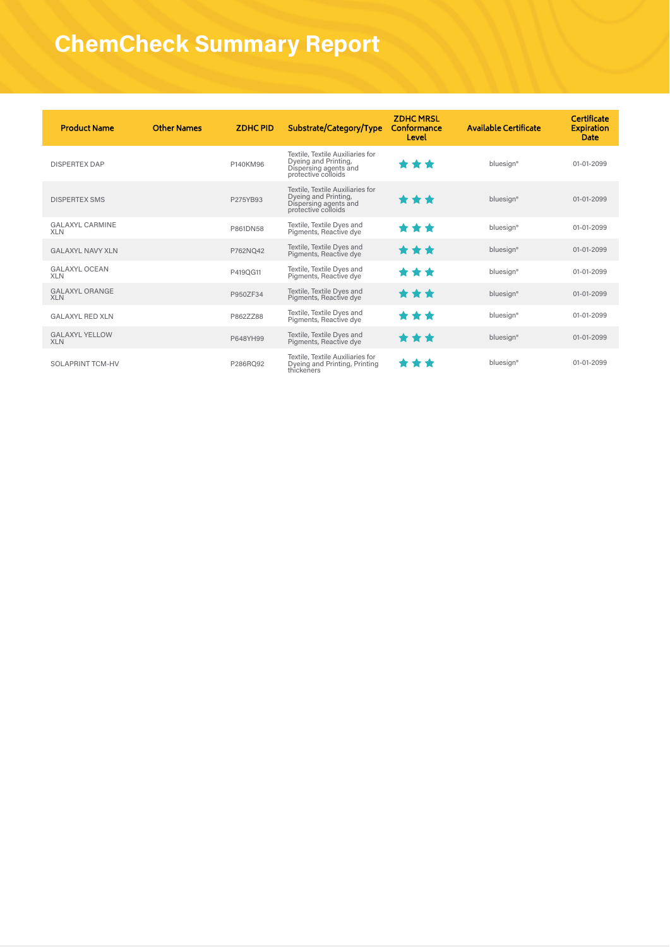| <b>Product Name</b>                  | <b>Other Names</b> | <b>ZDHCPID</b> | Substrate/Category/Type                                                                                  | <b>ZDHCMRSL</b><br>Conformance<br>Level | <b>Available Certificate</b> | <b>Certificate</b><br><b>Expiration</b><br>Date |
|--------------------------------------|--------------------|----------------|----------------------------------------------------------------------------------------------------------|-----------------------------------------|------------------------------|-------------------------------------------------|
| <b>DISPERTEX DAP</b>                 |                    | P140KM96       | Textile, Textile Auxiliaries for<br>Dyeing and Printing,<br>Dispersing agents and<br>protective colloids | * * *                                   | bluesign <sup>®</sup>        | 01-01-2099                                      |
| <b>DISPERTEX SMS</b>                 |                    | P275YB93       | Textile, Textile Auxiliaries for<br>Dyeing and Printing,<br>Dispersing agents and<br>protective colloids | ***                                     | bluesign®                    | 01-01-2099                                      |
| <b>GALAXYL CARMINE</b><br><b>XLN</b> |                    | P861DN58       | Textile, Textile Dyes and<br>Pigments, Reactive dye                                                      | ***                                     | bluesign <sup>®</sup>        | 01-01-2099                                      |
| <b>GALAXYL NAVY XLN</b>              |                    | P762NO42       | Textile, Textile Dyes and<br>Pigments, Reactive dye                                                      | ***                                     | bluesign®                    | 01-01-2099                                      |
| <b>GALAXYL OCEAN</b><br><b>XLN</b>   |                    | P419QG11       | Textile, Textile Dyes and<br>Pigments, Reactive dye                                                      | * * *                                   | bluesign <sup>®</sup>        | 01-01-2099                                      |
| <b>GALAXYL ORANGE</b><br><b>XLN</b>  |                    | P950ZF34       | Textile, Textile Dyes and<br>Pigments, Reactive dye                                                      | ***                                     | bluesign®                    | 01-01-2099                                      |
| <b>GALAXYL RED XLN</b>               |                    | P862ZZ88       | Textile, Textile Dyes and<br>Pigments, Reactive dye                                                      | * * *                                   | bluesign <sup>®</sup>        | 01-01-2099                                      |
| <b>GALAXYL YELLOW</b><br><b>XLN</b>  |                    | P648YH99       | Textile, Textile Dyes and<br>Pigments, Reactive dye                                                      | ***                                     | bluesign®                    | 01-01-2099                                      |
| <b>SOLAPRINT TCM-HV</b>              |                    | P286RO92       | Textile, Textile Auxiliaries for<br>Dyeing and Printing, Printing<br>thickeners                          | .                                       | bluesign <sup>®</sup>        | 01-01-2099                                      |